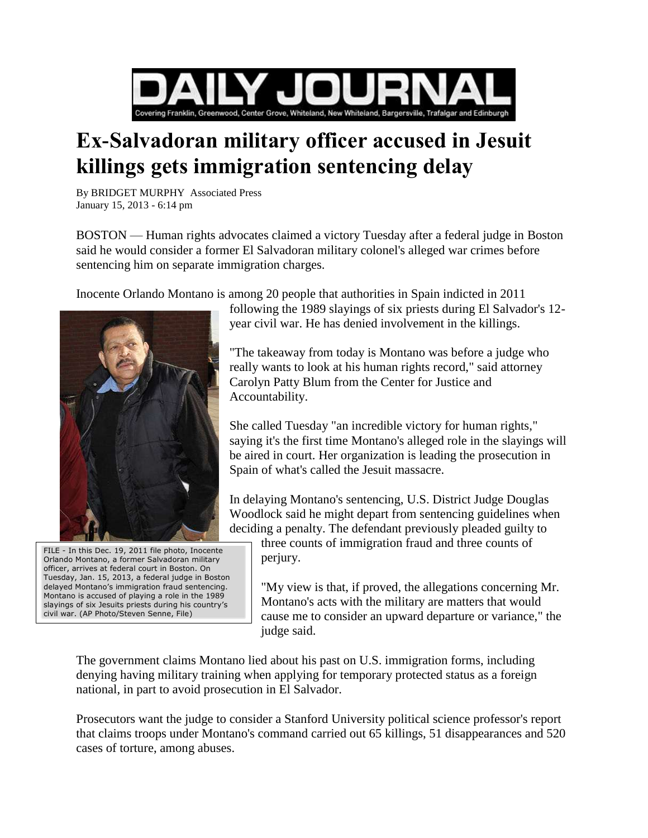

## **Ex-Salvadoran military officer accused in Jesuit killings gets immigration sentencing delay**

By BRIDGET MURPHY Associated Press January 15, 2013 - 6:14 pm

BOSTON — Human rights advocates claimed a victory Tuesday after a federal judge in Boston said he would consider a former El Salvadoran military colonel's alleged war crimes before sentencing him on separate immigration charges.

Inocente Orlando Montano is among 20 people that authorities in Spain indicted in 2011



FILE - In this Dec. 19, 2011 file photo, Inocente Orlando Montano, a former Salvadoran military officer, arrives at federal court in Boston. On Tuesday, Jan. 15, 2013, a federal judge in Boston delayed Montano's immigration fraud sentencing. Montano is accused of playing a role in the 1989 slayings of six Jesuits priests during his country's civil war. (AP Photo/Steven Senne, File)

following the 1989 slayings of six priests during El Salvador's 12 year civil war. He has denied involvement in the killings.

"The takeaway from today is Montano was before a judge who really wants to look at his human rights record," said attorney Carolyn Patty Blum from the Center for Justice and Accountability.

She called Tuesday "an incredible victory for human rights," saying it's the first time Montano's alleged role in the slayings will be aired in court. Her organization is leading the prosecution in Spain of what's called the Jesuit massacre.

In delaying Montano's sentencing, U.S. District Judge Douglas Woodlock said he might depart from sentencing guidelines when deciding a penalty. The defendant previously pleaded guilty to

three counts of immigration fraud and three counts of perjury.

"My view is that, if proved, the allegations concerning Mr. Montano's acts with the military are matters that would cause me to consider an upward departure or variance," the judge said.

The government claims Montano lied about his past on U.S. immigration forms, including denying having military training when applying for temporary protected status as a foreign national, in part to avoid prosecution in El Salvador.

Prosecutors want the judge to consider a Stanford University political science professor's report that claims troops under Montano's command carried out 65 killings, 51 disappearances and 520 cases of torture, among abuses.